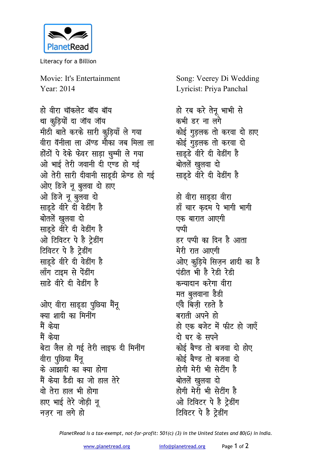

Literacy for a Billion

Movie: It's Entertainment Year: 2014

हो वीरा चॉकलेट बॉय बॉय था कुड़ियों दा जॉय जॉय मीठी बाते करके सारी कुड़ियाँ ले गया वीरा वॅनीला ला ॲण्ड मौका जब मिला ला होंठों पे देके फेवर साड़ा चुम्मी ले गया ओ भाई तेरी जवानी दी एण्ड हो गई ओ तेरी सारी दीवानी साडूडी फ्रेण्ड हो गई ओए डिजे नू बुलवा दो हाए ओ डिजे नू बुलवा दो साडूडे वीरे दी वेडींग है बोतलें खुलवा दो साडडे वीरे दी वेडींग है ओ टिविटर पे है ट्रेडींग टिविटर पे है ट्रेडींग साड़डे वीरे दी वेडींग है लॉंग टाइम से पेंडींग साडे वीरे दी वेडींग है ओए वीरा साड्डा पुछिया मैंनू क्या शादी का मिनींग मैं केया मैं केया बेटा जैल हो गई तेरी लाइफ दी मिनींग वीरा पुछिया मैंनू के आझादी का क्या होगा मैं केया डैडी का जो हाल तेरे वो तेरा हाल भी होगा हाए भाई तेरे जोडी न नजर ना लगे हो

Song: Veerey Di Wedding Lyricist: Priya Panchal

हो रब करे तेनू भाभी से कभी डर ना लगे कोई गुडलक तो करवा दो हाए कोई गुड़लक तो करवा दो साड़ुडे वीरे दी वेडींग है बोतलें खुलवा दो साडूडे वीरे दी वेडींग है हो वीरा साडुडा वीरा हाँ चार कदम पे भागी भागी एक बारात आएगी पप्पी हर पप्पी का दिन है आता मेरी रात आएगी ओए कुड़िये सिज़न शादी का है पंडीत भी है रेडी रेडी कन्यादान करेगा वीरा मत बुलवाना डैडी एंवे बिजी रहते है बराती अपने हो हो एक बजेट में फीट हो जाएँ दो घर के सपने कोई बैण्ड तो बजवा दो होए कोई बैण्ड तो बजवा दो होगी मेरी भी सेटींग है बोतलें खुलवा दो होगी मेरी भी सेटींग है ओ टिविटर पे है ट्रेडींग

PlanetRead is a tax-exempt, not-for-profit: 501(c) (3) in the United States and 80(G) in India.

टिविटर पे है ट्रेडींग